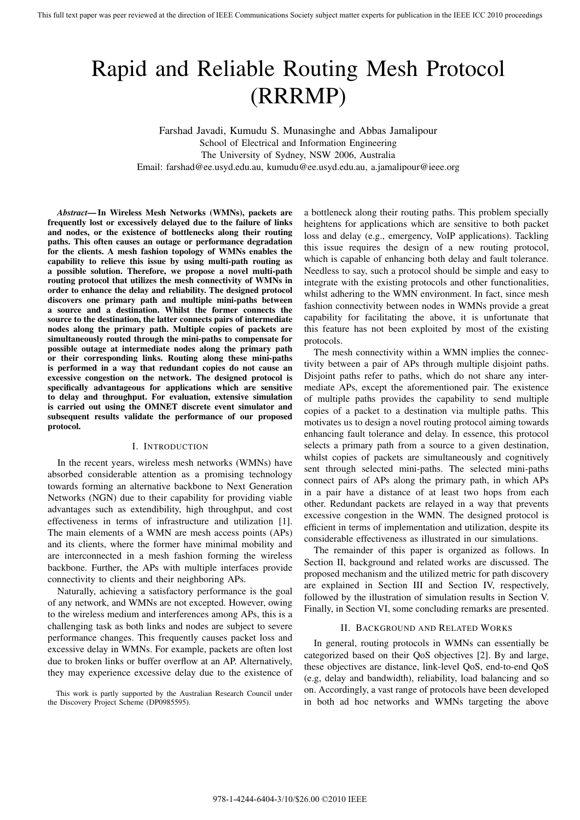# Rapid and Reliable Routing Mesh Protocol (RRRMP)

Farshad Javadi, Kumudu S. Munasinghe and Abbas Jamalipour School of Electrical and Information Engineering The University of Sydney, NSW 2006, Australia Email: farshad@ee.usyd.edu.au, kumudu@ee.usyd.edu.au, a.jamalipour@ieee.org

*Abstract***— In Wireless Mesh Networks (WMNs), packets are frequently lost or excessively delayed due to the failure of links and nodes, or the existence of bottlenecks along their routing paths. This often causes an outage or performance degradation for the clients. A mesh fashion topology of WMNs enables the capability to relieve this issue by using multi-path routing as a possible solution. Therefore, we propose a novel multi-path routing protocol that utilizes the mesh connectivity of WMNs in order to enhance the delay and reliability. The designed protocol discovers one primary path and multiple mini-paths between a source and a destination. Whilst the former connects the source to the destination, the latter connects pairs of intermediate nodes along the primary path. Multiple copies of packets are simultaneously routed through the mini-paths to compensate for possible outage at intermediate nodes along the primary path or their corresponding links. Routing along these mini-paths is performed in a way that redundant copies do not cause an excessive congestion on the network. The designed protocol is specifically advantageous for applications which are sensitive to delay and throughput. For evaluation, extensive simulation is carried out using the OMNET discrete event simulator and subsequent results validate the performance of our proposed protocol.**

# I. INTRODUCTION

In the recent years, wireless mesh networks (WMNs) have absorbed considerable attention as a promising technology towards forming an alternative backbone to Next Generation Networks (NGN) due to their capability for providing viable advantages such as extendibility, high throughput, and cost effectiveness in terms of infrastructure and utilization [1]. The main elements of a WMN are mesh access points (APs) and its clients, where the former have minimal mobility and are interconnected in a mesh fashion forming the wireless backbone. Further, the APs with multiple interfaces provide connectivity to clients and their neighboring APs.

Naturally, achieving a satisfactory performance is the goal of any network, and WMNs are not excepted. However, owing to the wireless medium and interferences among APs, this is a challenging task as both links and nodes are subject to severe performance changes. This frequently causes packet loss and excessive delay in WMNs. For example, packets are often lost due to broken links or buffer overflow at an AP. Alternatively, they may experience excessive delay due to the existence of a bottleneck along their routing paths. This problem specially heightens for applications which are sensitive to both packet loss and delay (e.g., emergency, VoIP applications). Tackling this issue requires the design of a new routing protocol, which is capable of enhancing both delay and fault tolerance. Needless to say, such a protocol should be simple and easy to integrate with the existing protocols and other functionalities, whilst adhering to the WMN environment. In fact, since mesh fashion connectivity between nodes in WMNs provide a great capability for facilitating the above, it is unfortunate that this feature has not been exploited by most of the existing protocols.

The mesh connectivity within a WMN implies the connectivity between a pair of APs through multiple disjoint paths. Disjoint paths refer to paths, which do not share any intermediate APs, except the aforementioned pair. The existence of multiple paths provides the capability to send multiple copies of a packet to a destination via multiple paths. This motivates us to design a novel routing protocol aiming towards enhancing fault tolerance and delay. In essence, this protocol selects a primary path from a source to a given destination, whilst copies of packets are simultaneously and cognitively sent through selected mini-paths. The selected mini-paths connect pairs of APs along the primary path, in which APs in a pair have a distance of at least two hops from each other. Redundant packets are relayed in a way that prevents excessive congestion in the WMN. The designed protocol is efficient in terms of implementation and utilization, despite its considerable effectiveness as illustrated in our simulations.

The remainder of this paper is organized as follows. In Section II, background and related works are discussed. The proposed mechanism and the utilized metric for path discovery are explained in Section III and Section IV, respectively, followed by the illustration of simulation results in Section V. Finally, in Section VI, some concluding remarks are presented.

## II. BACKGROUND AND RELATED WORKS

In general, routing protocols in WMNs can essentially be categorized based on their QoS objectives [2]. By and large, these objectives are distance, link-level QoS, end-to-end QoS (e.g, delay and bandwidth), reliability, load balancing and so on. Accordingly, a vast range of protocols have been developed in both ad hoc networks and WMNs targeting the above

This work is partly supported by the Australian Research Council under the Discovery Project Scheme (DP0985595).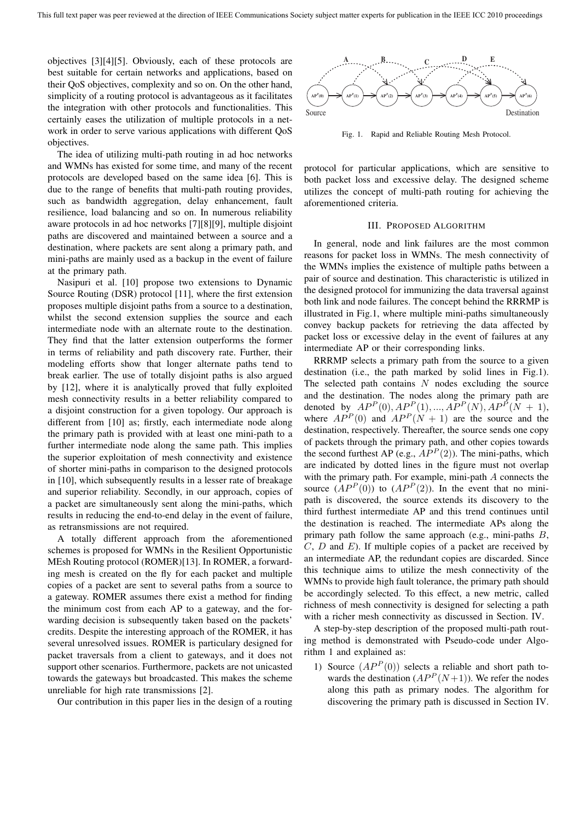objectives [3][4][5]. Obviously, each of these protocols are best suitable for certain networks and applications, based on their QoS objectives, complexity and so on. On the other hand, simplicity of a routing protocol is advantageous as it facilitates the integration with other protocols and functionalities. This certainly eases the utilization of multiple protocols in a network in order to serve various applications with different QoS objectives.

The idea of utilizing multi-path routing in ad hoc networks and WMNs has existed for some time, and many of the recent protocols are developed based on the same idea [6]. This is due to the range of benefits that multi-path routing provides, such as bandwidth aggregation, delay enhancement, fault resilience, load balancing and so on. In numerous reliability aware protocols in ad hoc networks [7][8][9], multiple disjoint paths are discovered and maintained between a source and a destination, where packets are sent along a primary path, and mini-paths are mainly used as a backup in the event of failure at the primary path.

Nasipuri et al. [10] propose two extensions to Dynamic Source Routing (DSR) protocol [11], where the first extension proposes multiple disjoint paths from a source to a destination, whilst the second extension supplies the source and each intermediate node with an alternate route to the destination. They find that the latter extension outperforms the former in terms of reliability and path discovery rate. Further, their modeling efforts show that longer alternate paths tend to break earlier. The use of totally disjoint paths is also argued by [12], where it is analytically proved that fully exploited mesh connectivity results in a better reliability compared to a disjoint construction for a given topology. Our approach is different from [10] as; firstly, each intermediate node along the primary path is provided with at least one mini-path to a further intermediate node along the same path. This implies the superior exploitation of mesh connectivity and existence of shorter mini-paths in comparison to the designed protocols in [10], which subsequently results in a lesser rate of breakage and superior reliability. Secondly, in our approach, copies of a packet are simultaneously sent along the mini-paths, which results in reducing the end-to-end delay in the event of failure, as retransmissions are not required.

A totally different approach from the aforementioned schemes is proposed for WMNs in the Resilient Opportunistic MEsh Routing protocol (ROMER)[13]. In ROMER, a forwarding mesh is created on the fly for each packet and multiple copies of a packet are sent to several paths from a source to a gateway. ROMER assumes there exist a method for finding the minimum cost from each AP to a gateway, and the forwarding decision is subsequently taken based on the packets' credits. Despite the interesting approach of the ROMER, it has several unresolved issues. ROMER is particulary designed for packet traversals from a client to gateways, and it does not support other scenarios. Furthermore, packets are not unicasted towards the gateways but broadcasted. This makes the scheme unreliable for high rate transmissions [2].

Our contribution in this paper lies in the design of a routing



Fig. 1. Rapid and Reliable Routing Mesh Protocol.

protocol for particular applications, which are sensitive to both packet loss and excessive delay. The designed scheme utilizes the concept of multi-path routing for achieving the aforementioned criteria.

## III. PROPOSED ALGORITHM

In general, node and link failures are the most common reasons for packet loss in WMNs. The mesh connectivity of the WMNs implies the existence of multiple paths between a pair of source and destination. This characteristic is utilized in the designed protocol for immunizing the data traversal against both link and node failures. The concept behind the RRRMP is illustrated in Fig.1, where multiple mini-paths simultaneously convey backup packets for retrieving the data affected by packet loss or excessive delay in the event of failures at any intermediate AP or their corresponding links.

RRRMP selects a primary path from the source to a given destination (i.e., the path marked by solid lines in Fig.1). The selected path contains *N* nodes excluding the source and the destination. The nodes along the primary path are denoted by  $AP^P(0), AP^P(1), ..., AP^P(N), AP^P(N+1)$ , where  $AP^P(0)$  and  $AP^P(N + 1)$  are the source and the destination, respectively. Thereafter, the source sends one copy of packets through the primary path, and other copies towards the second furthest AP (e.g.,  $AP<sup>P</sup>(2)$ ). The mini-paths, which are indicated by dotted lines in the figure must not overlap with the primary path. For example, mini-path *A* connects the source  $(AP^P(0))$  to  $(AP^P(2))$ . In the event that no minipath is discovered, the source extends its discovery to the third furthest intermediate AP and this trend continues until the destination is reached. The intermediate APs along the primary path follow the same approach (e.g., mini-paths *B*, *C*, *D* and *E*). If multiple copies of a packet are received by an intermediate AP, the redundant copies are discarded. Since this technique aims to utilize the mesh connectivity of the WMNs to provide high fault tolerance, the primary path should be accordingly selected. To this effect, a new metric, called richness of mesh connectivity is designed for selecting a path with a richer mesh connectivity as discussed in Section. IV.

A step-by-step description of the proposed multi-path routing method is demonstrated with Pseudo-code under Algorithm 1 and explained as:

1) Source  $(AP^P(0))$  selects a reliable and short path towards the destination  $(AP^P(N+1))$ . We refer the nodes along this path as primary nodes. The algorithm for discovering the primary path is discussed in Section IV.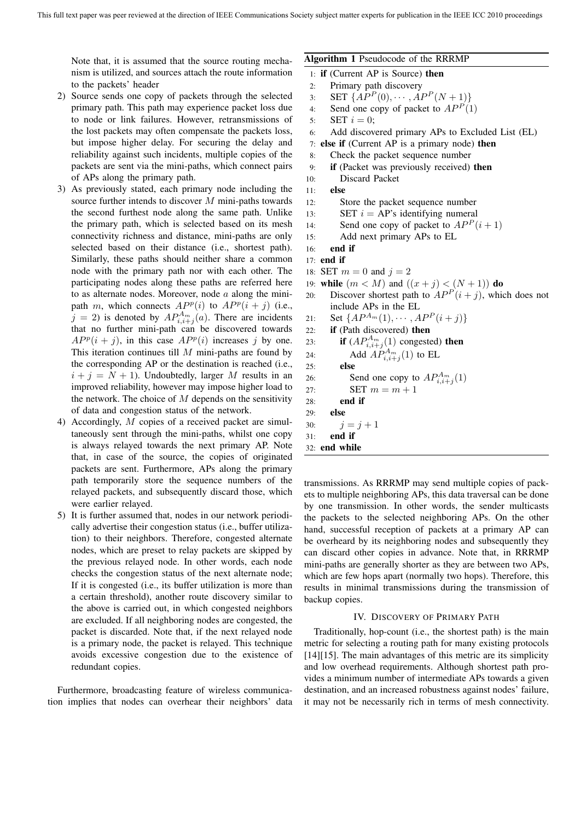Note that, it is assumed that the source routing mechanism is utilized, and sources attach the route information to the packets' header

- 2) Source sends one copy of packets through the selected primary path. This path may experience packet loss due to node or link failures. However, retransmissions of the lost packets may often compensate the packets loss, but impose higher delay. For securing the delay and reliability against such incidents, multiple copies of the packets are sent via the mini-paths, which connect pairs of APs along the primary path.
- 3) As previously stated, each primary node including the source further intends to discover *M* mini-paths towards the second furthest node along the same path. Unlike the primary path, which is selected based on its mesh connectivity richness and distance, mini-paths are only selected based on their distance (i.e., shortest path). Similarly, these paths should neither share a common node with the primary path nor with each other. The participating nodes along these paths are referred here to as alternate nodes. Moreover, node *a* along the minipath *m*, which connects  $AP<sup>p</sup>(i)$  to  $AP<sup>p</sup>(i + j)$  (i.e.,  $j = 2$ ) is denoted by  $AP_{i,i+j}^{A_m}(a)$ . There are incidents that no further mini-path can be discovered towards  $AP<sup>p</sup>(i + j)$ , in this case  $AP<sup>p</sup>(i)$  increases *j* by one. This iteration continues till *M* mini-paths are found by the corresponding AP or the destination is reached (i.e.,  $i + j = N + 1$ . Undoubtedly, larger *M* results in an improved reliability, however may impose higher load to the network. The choice of *M* depends on the sensitivity of data and congestion status of the network.
- 4) Accordingly, *M* copies of a received packet are simultaneously sent through the mini-paths, whilst one copy is always relayed towards the next primary AP. Note that, in case of the source, the copies of originated packets are sent. Furthermore, APs along the primary path temporarily store the sequence numbers of the relayed packets, and subsequently discard those, which were earlier relayed.
- 5) It is further assumed that, nodes in our network periodically advertise their congestion status (i.e., buffer utilization) to their neighbors. Therefore, congested alternate nodes, which are preset to relay packets are skipped by the previous relayed node. In other words, each node checks the congestion status of the next alternate node; If it is congested (i.e., its buffer utilization is more than a certain threshold), another route discovery similar to the above is carried out, in which congested neighbors are excluded. If all neighboring nodes are congested, the packet is discarded. Note that, if the next relayed node is a primary node, the packet is relayed. This technique avoids excessive congestion due to the existence of redundant copies.

Furthermore, broadcasting feature of wireless communication implies that nodes can overhear their neighbors' data

# **Algorithm 1** Pseudocode of the RRRMP

- 1: **if** (Current AP is Source) **then**
- 2: Primary path discovery
- 3: **SET**  $\{AP^P(0), \cdots, AP^P(N+1)\}$ <br>4: **Send one copy of packet to**  $AP^P(1)$
- Send one copy of packet to  $AP<sup>P</sup>(1)$
- 5:  $SET i = 0;$
- 6: Add discovered primary APs to Excluded List (EL)
- 7: **else if** (Current AP is a primary node) **then**
- 8: Check the packet sequence number
- 9: **if** (Packet was previously received) **then**
- 10: Discard Packet
- 11: **else**
- 12: Store the packet sequence number
- 13: **SET**  $i = AP$ 's identifying numeral
- 14: Send one copy of packet to  $AP<sup>P</sup>(i+1)$
- 15: Add next primary APs to EL
- 16: **end if**
- 17: **end if**
- 18: **SET**  $m = 0$  and  $j = 2$
- 19: **while**  $(m < M)$  and  $((x + j) < (N + 1))$  **do**
- 20: Discover shortest path to  $AP<sup>P</sup>(i + j)$ , which does not include APs in the EL
- 21: Set  $\{AP^{A_m}(1), \cdots, AP^P(i+j)\}$ <br>22: **if** (Path discovered) **then**
- if (Path discovered) then
- 23: **if**  $(AP_{i,i+j}^{A_m}(1)$  congested) **then**
- 24: Add  $AP_{i,i+j}^{A_m}(1)$  to EL
- 25: **else**
- 26: Send one copy to  $AP_{i,i+j}^{A_m}(1)$
- 27: **SET**  $m = m + 1$
- 28: **end if**
- 29: **else** 30:  $j = j + 1$
- 31: **end if**
- 32: **end while**

transmissions. As RRRMP may send multiple copies of packets to multiple neighboring APs, this data traversal can be done by one transmission. In other words, the sender multicasts the packets to the selected neighboring APs. On the other hand, successful reception of packets at a primary AP can be overheard by its neighboring nodes and subsequently they can discard other copies in advance. Note that, in RRRMP mini-paths are generally shorter as they are between two APs, which are few hops apart (normally two hops). Therefore, this results in minimal transmissions during the transmission of backup copies.

# IV. DISCOVERY OF PRIMARY PATH

Traditionally, hop-count (i.e., the shortest path) is the main metric for selecting a routing path for many existing protocols [14][15]. The main advantages of this metric are its simplicity and low overhead requirements. Although shortest path provides a minimum number of intermediate APs towards a given destination, and an increased robustness against nodes' failure, it may not be necessarily rich in terms of mesh connectivity.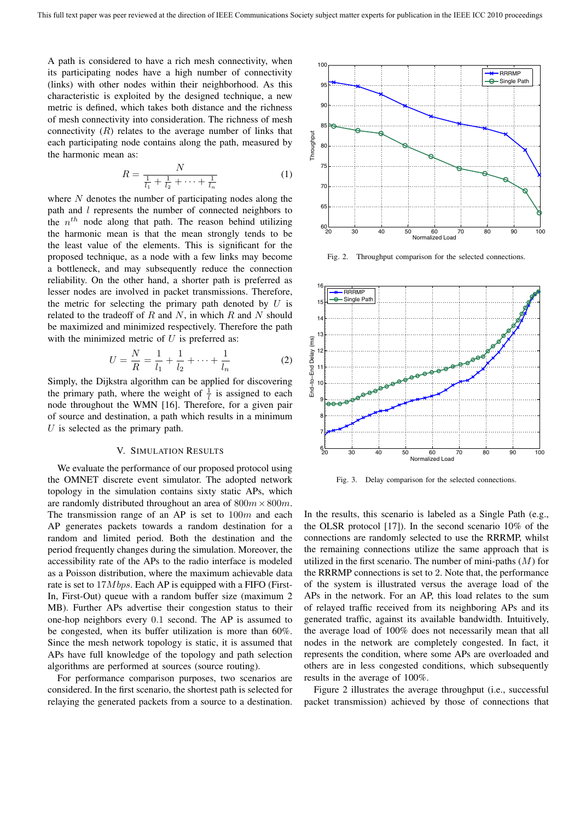A path is considered to have a rich mesh connectivity, when its participating nodes have a high number of connectivity (links) with other nodes within their neighborhood. As this characteristic is exploited by the designed technique, a new metric is defined, which takes both distance and the richness of mesh connectivity into consideration. The richness of mesh connectivity  $(R)$  relates to the average number of links that each participating node contains along the path, measured by the harmonic mean as:

$$
R = \frac{N}{\frac{1}{l_1} + \frac{1}{l_2} + \dots + \frac{1}{l_n}}
$$
 (1)

where *N* denotes the number of participating nodes along the path and *l* represents the number of connected neighbors to the  $n^{th}$  node along that path. The reason behind utilizing the harmonic mean is that the mean strongly tends to be the least value of the elements. This is significant for the proposed technique, as a node with a few links may become a bottleneck, and may subsequently reduce the connection reliability. On the other hand, a shorter path is preferred as lesser nodes are involved in packet transmissions. Therefore, the metric for selecting the primary path denoted by *U* is related to the tradeoff of *R* and *N*, in which *R* and *N* should be maximized and minimized respectively. Therefore the path with the minimized metric of *U* is preferred as:

$$
U = \frac{N}{R} = \frac{1}{l_1} + \frac{1}{l_2} + \dots + \frac{1}{l_n}
$$
 (2)

Simply, the Dijkstra algorithm can be applied for discovering the primary path, where the weight of  $\frac{1}{l}$  is assigned to each node throughout the WMN [16]. Therefore, for a given pair of source and destination, a path which results in a minimum *U* is selected as the primary path.

## V. SIMULATION RESULTS

We evaluate the performance of our proposed protocol using the OMNET discrete event simulator. The adopted network topology in the simulation contains sixty static APs, which are randomly distributed throughout an area of 800*m×*800*m*. The transmission range of an AP is set to 100*m* and each AP generates packets towards a random destination for a random and limited period. Both the destination and the period frequently changes during the simulation. Moreover, the accessibility rate of the APs to the radio interface is modeled as a Poisson distribution, where the maximum achievable data rate is set to 17*M bps*. Each AP is equipped with a FIFO (First-In, First-Out) queue with a random buffer size (maximum 2 MB). Further APs advertise their congestion status to their one-hop neighbors every 0*.*1 second. The AP is assumed to be congested, when its buffer utilization is more than 60%. Since the mesh network topology is static, it is assumed that APs have full knowledge of the topology and path selection algorithms are performed at sources (source routing).

For performance comparison purposes, two scenarios are considered. In the first scenario, the shortest path is selected for relaying the generated packets from a source to a destination.



Fig. 2. Throughput comparison for the selected connections.



Fig. 3. Delay comparison for the selected connections.

In the results, this scenario is labeled as a Single Path (e.g., the OLSR protocol [17]). In the second scenario 10% of the connections are randomly selected to use the RRRMP, whilst the remaining connections utilize the same approach that is utilized in the first scenario. The number of mini-paths (*M*) for the RRRMP connections is set to 2. Note that, the performance of the system is illustrated versus the average load of the APs in the network. For an AP, this load relates to the sum of relayed traffic received from its neighboring APs and its generated traffic, against its available bandwidth. Intuitively, the average load of 100% does not necessarily mean that all nodes in the network are completely congested. In fact, it represents the condition, where some APs are overloaded and others are in less congested conditions, which subsequently results in the average of 100%.

Figure 2 illustrates the average throughput (i.e., successful packet transmission) achieved by those of connections that